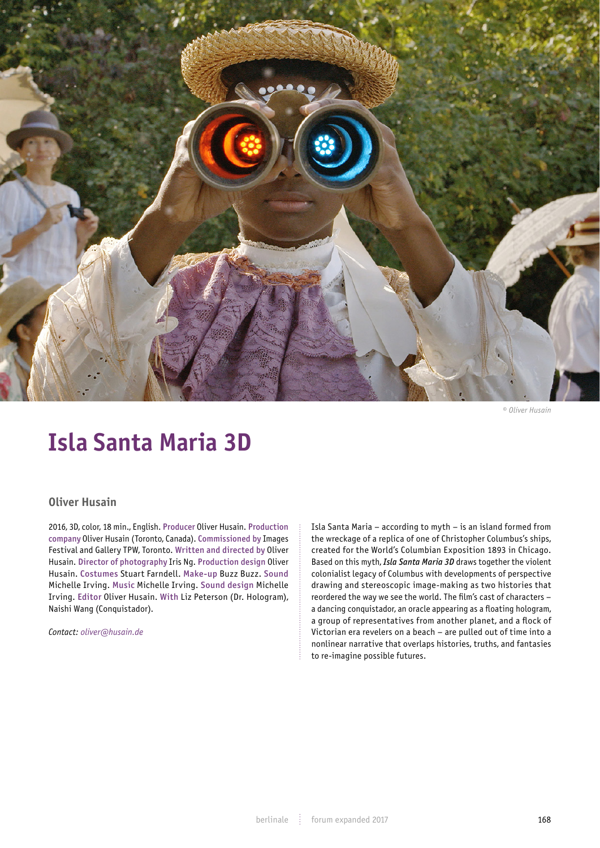

*© Oliver Husain*

# **Isla Santa Maria 3D**

## **Oliver Husain**

2016, 3D, color, 18 min., English. Producer Oliver Husain. Production company Oliver Husain (Toronto, Canada). Commissioned by Images Festival and Gallery TPW, Toronto. Written and directed by Oliver Husain. Director of photography Iris Ng. Production design Oliver Husain. Costumes Stuart Farndell. Make-up Buzz Buzz. Sound Michelle Irving. Music Michelle Irving. Sound design Michelle Irving. Editor Oliver Husain. With Liz Peterson (Dr. Hologram), Naishi Wang (Conquistador).

*Contact: oliver@husain.de*

Isla Santa Maria – according to myth – is an island formed from the wreckage of a replica of one of Christopher Columbus's ships, created for the World's Columbian Exposition 1893 in Chicago. Based on this myth, *Isla Santa Maria 3D* draws together the violent colonialist legacy of Columbus with developments of perspective drawing and stereoscopic image-making as two histories that reordered the way we see the world. The film's cast of characters – a dancing conquistador, an oracle appearing as a floating hologram, a group of representatives from another planet, and a flock of Victorian era revelers on a beach – are pulled out of time into a nonlinear narrative that overlaps histories, truths, and fantasies to re-imagine possible futures.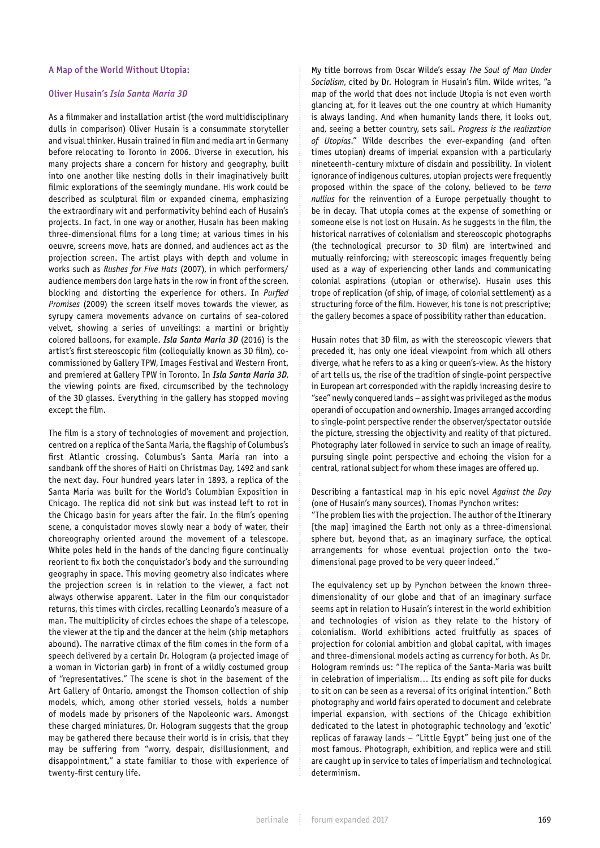#### A Map of the World Without Utopia:

### Oliver Husain's *Isla Santa Maria 3D*

As a filmmaker and installation artist (the word multidisciplinary dulls in comparison) Oliver Husain is a consummate storyteller and visual thinker. Husain trained in film and media art in Germany before relocating to Toronto in 2006. Diverse in execution, his many projects share a concern for history and geography, built into one another like nesting dolls in their imaginatively built filmic explorations of the seemingly mundane. His work could be described as sculptural film or expanded cinema, emphasizing the extraordinary wit and performativity behind each of Husain's projects. In fact, in one way or another, Husain has been making three-dimensional films for a long time; at various times in his oeuvre, screens move, hats are donned, and audiences act as the projection screen. The artist plays with depth and volume in works such as *Rushes for Five Hats* (2007), in which performers/ audience members don large hats in the row in front of the screen, blocking and distorting the experience for others. In *Purfled Promises* (2009) the screen itself moves towards the viewer, as syrupy camera movements advance on curtains of sea-colored velvet, showing a series of unveilings: a martini or brightly colored balloons, for example. *Isla Santa Maria 3D* (2016) is the artist's first stereoscopic film (colloquially known as 3D film), cocommissioned by Gallery TPW, Images Festival and Western Front, and premiered at Gallery TPW in Toronto. In *Isla Santa Maria 3D*, the viewing points are fixed, circumscribed by the technology of the 3D glasses. Everything in the gallery has stopped moving except the film.

The film is a story of technologies of movement and projection, centred on a replica of the Santa Maria, the flagship of Columbus's first Atlantic crossing. Columbus's Santa Maria ran into a sandbank off the shores of Haiti on Christmas Day, 1492 and sank the next day. Four hundred years later in 1893, a replica of the Santa Maria was built for the World's Columbian Exposition in Chicago. The replica did not sink but was instead left to rot in the Chicago basin for years after the fair. In the film's opening scene, a conquistador moves slowly near a body of water, their choreography oriented around the movement of a telescope. White poles held in the hands of the dancing figure continually reorient to fix both the conquistador's body and the surrounding geography in space. This moving geometry also indicates where the projection screen is in relation to the viewer, a fact not always otherwise apparent. Later in the film our conquistador returns, this times with circles, recalling Leonardo's measure of a man. The multiplicity of circles echoes the shape of a telescope, the viewer at the tip and the dancer at the helm (ship metaphors abound). The narrative climax of the film comes in the form of a speech delivered by a certain Dr. Hologram (a projected image of a woman in Victorian garb) in front of a wildly costumed group of "representatives." The scene is shot in the basement of the Art Gallery of Ontario, amongst the Thomson collection of ship models, which, among other storied vessels, holds a number of models made by prisoners of the Napoleonic wars. Amongst these charged miniatures, Dr. Hologram suggests that the group may be gathered there because their world is in crisis, that they may be suffering from "worry, despair, disillusionment, and disappointment," a state familiar to those with experience of twenty-first century life.

My title borrows from Oscar Wilde's essay *The Soul of Man Under Socialism*, cited by Dr. Hologram in Husain's film. Wilde writes, "a map of the world that does not include Utopia is not even worth glancing at, for it leaves out the one country at which Humanity is always landing. And when humanity lands there, it looks out, and, seeing a better country, sets sail. *Progress is the realization of Utopias*." Wilde describes the ever-expanding (and often times utopian) dreams of imperial expansion with a particularly nineteenth-century mixture of disdain and possibility. In violent ignorance of indigenous cultures, utopian projects were frequently proposed within the space of the colony, believed to be *terra nullius* for the reinvention of a Europe perpetually thought to be in decay. That utopia comes at the expense of something or someone else is not lost on Husain. As he suggests in the film, the historical narratives of colonialism and stereoscopic photographs (the technological precursor to 3D film) are intertwined and mutually reinforcing; with stereoscopic images frequently being used as a way of experiencing other lands and communicating colonial aspirations (utopian or otherwise). Husain uses this trope of replication (of ship, of image, of colonial settlement) as a structuring force of the film. However, his tone is not prescriptive; the gallery becomes a space of possibility rather than education.

Husain notes that 3D film, as with the stereoscopic viewers that preceded it, has only one ideal viewpoint from which all others diverge, what he refers to as a king or queen's-view. As the history of art tells us, the rise of the tradition of single-point perspective in European art corresponded with the rapidly increasing desire to "see" newly conquered lands – as sight was privileged as the modus operandi of occupation and ownership. Images arranged according to single-point perspective render the observer/spectator outside the picture, stressing the objectivity and reality of that pictured. Photography later followed in service to such an image of reality, pursuing single point perspective and echoing the vision for a central, rational subject for whom these images are offered up.

Describing a fantastical map in his epic novel *Against the Day* (one of Husain's many sources), Thomas Pynchon writes: "The problem lies with the projection. The author of the Itinerary [the map] imagined the Earth not only as a three-dimensional sphere but, beyond that, as an imaginary surface, the optical arrangements for whose eventual projection onto the twodimensional page proved to be very queer indeed."

The equivalency set up by Pynchon between the known threedimensionality of our globe and that of an imaginary surface seems apt in relation to Husain's interest in the world exhibition and technologies of vision as they relate to the history of colonialism. World exhibitions acted fruitfully as spaces of projection for colonial ambition and global capital, with images and three-dimensional models acting as currency for both. As Dr. Hologram reminds us: "The replica of the Santa-Maria was built in celebration of imperialism… Its ending as soft pile for ducks to sit on can be seen as a reversal of its original intention." Both photography and world fairs operated to document and celebrate imperial expansion, with sections of the Chicago exhibition dedicated to the latest in photographic technology and 'exotic' replicas of faraway lands – "Little Egypt" being just one of the most famous. Photograph, exhibition, and replica were and still are caught up in service to tales of imperialism and technological determinism.